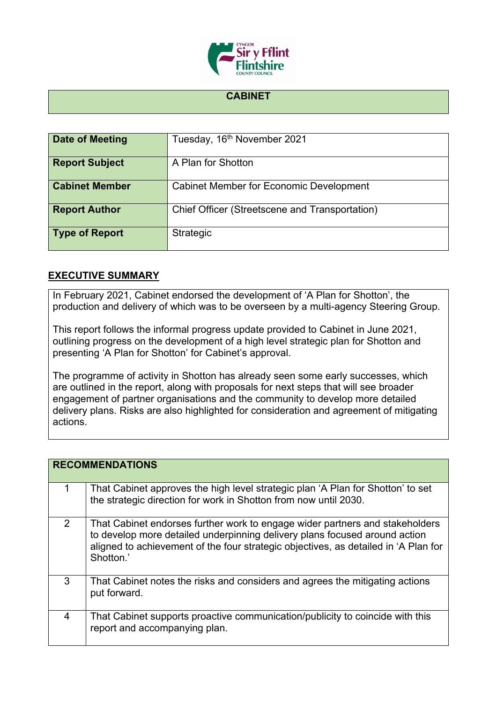

## **CABINET**

| Date of Meeting       | Tuesday, 16 <sup>th</sup> November 2021        |
|-----------------------|------------------------------------------------|
| <b>Report Subject</b> | A Plan for Shotton                             |
| <b>Cabinet Member</b> | <b>Cabinet Member for Economic Development</b> |
| <b>Report Author</b>  | Chief Officer (Streetscene and Transportation) |
| <b>Type of Report</b> | Strategic                                      |

## **EXECUTIVE SUMMARY**

In February 2021, Cabinet endorsed the development of 'A Plan for Shotton', the production and delivery of which was to be overseen by a multi-agency Steering Group.

This report follows the informal progress update provided to Cabinet in June 2021, outlining progress on the development of a high level strategic plan for Shotton and presenting 'A Plan for Shotton' for Cabinet's approval.

The programme of activity in Shotton has already seen some early successes, which are outlined in the report, along with proposals for next steps that will see broader engagement of partner organisations and the community to develop more detailed delivery plans. Risks are also highlighted for consideration and agreement of mitigating actions.

|   | <b>RECOMMENDATIONS</b>                                                                                                                                                                                                                                         |  |  |
|---|----------------------------------------------------------------------------------------------------------------------------------------------------------------------------------------------------------------------------------------------------------------|--|--|
|   | That Cabinet approves the high level strategic plan 'A Plan for Shotton' to set<br>the strategic direction for work in Shotton from now until 2030.                                                                                                            |  |  |
| 2 | That Cabinet endorses further work to engage wider partners and stakeholders<br>to develop more detailed underpinning delivery plans focused around action<br>aligned to achievement of the four strategic objectives, as detailed in 'A Plan for<br>Shotton.' |  |  |
| 3 | That Cabinet notes the risks and considers and agrees the mitigating actions<br>put forward.                                                                                                                                                                   |  |  |
| 4 | That Cabinet supports proactive communication/publicity to coincide with this<br>report and accompanying plan.                                                                                                                                                 |  |  |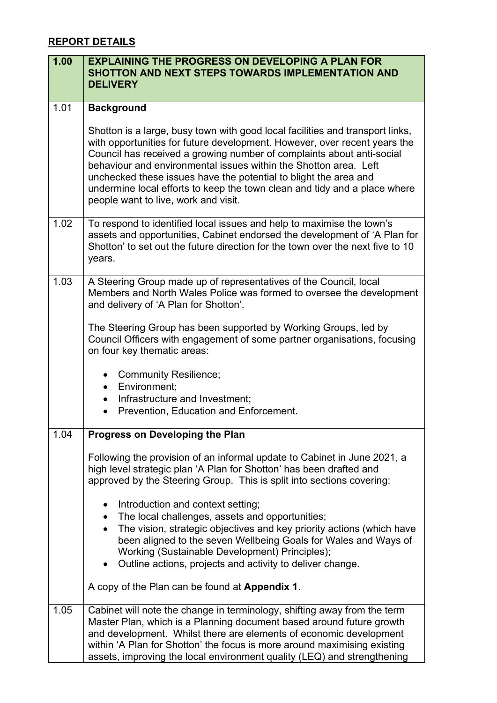# **REPORT DETAILS**

| 1.00 | <b>EXPLAINING THE PROGRESS ON DEVELOPING A PLAN FOR</b><br><b>SHOTTON AND NEXT STEPS TOWARDS IMPLEMENTATION AND</b><br><b>DELIVERY</b>                                                                                                                                                                                                                                                                                                                                                           |  |
|------|--------------------------------------------------------------------------------------------------------------------------------------------------------------------------------------------------------------------------------------------------------------------------------------------------------------------------------------------------------------------------------------------------------------------------------------------------------------------------------------------------|--|
| 1.01 | <b>Background</b>                                                                                                                                                                                                                                                                                                                                                                                                                                                                                |  |
|      | Shotton is a large, busy town with good local facilities and transport links,<br>with opportunities for future development. However, over recent years the<br>Council has received a growing number of complaints about anti-social<br>behaviour and environmental issues within the Shotton area. Left<br>unchecked these issues have the potential to blight the area and<br>undermine local efforts to keep the town clean and tidy and a place where<br>people want to live, work and visit. |  |
| 1.02 | To respond to identified local issues and help to maximise the town's<br>assets and opportunities, Cabinet endorsed the development of 'A Plan for<br>Shotton' to set out the future direction for the town over the next five to 10<br>years.                                                                                                                                                                                                                                                   |  |
| 1.03 | A Steering Group made up of representatives of the Council, local<br>Members and North Wales Police was formed to oversee the development<br>and delivery of 'A Plan for Shotton'.                                                                                                                                                                                                                                                                                                               |  |
|      | The Steering Group has been supported by Working Groups, led by<br>Council Officers with engagement of some partner organisations, focusing<br>on four key thematic areas:                                                                                                                                                                                                                                                                                                                       |  |
|      | Community Resilience;<br>$\bullet$                                                                                                                                                                                                                                                                                                                                                                                                                                                               |  |
|      | Environment;<br>$\bullet$<br>Infrastructure and Investment;<br>$\bullet$                                                                                                                                                                                                                                                                                                                                                                                                                         |  |
|      | Prevention, Education and Enforcement.                                                                                                                                                                                                                                                                                                                                                                                                                                                           |  |
| 1.04 | <b>Progress on Developing the Plan</b>                                                                                                                                                                                                                                                                                                                                                                                                                                                           |  |
|      | Following the provision of an informal update to Cabinet in June 2021, a<br>high level strategic plan 'A Plan for Shotton' has been drafted and<br>approved by the Steering Group. This is split into sections covering:                                                                                                                                                                                                                                                                         |  |
|      | Introduction and context setting;<br>$\bullet$                                                                                                                                                                                                                                                                                                                                                                                                                                                   |  |
|      | The local challenges, assets and opportunities;                                                                                                                                                                                                                                                                                                                                                                                                                                                  |  |
|      | The vision, strategic objectives and key priority actions (which have<br>$\bullet$<br>been aligned to the seven Wellbeing Goals for Wales and Ways of<br>Working (Sustainable Development) Principles);                                                                                                                                                                                                                                                                                          |  |
|      | • Outline actions, projects and activity to deliver change.                                                                                                                                                                                                                                                                                                                                                                                                                                      |  |
|      | A copy of the Plan can be found at Appendix 1.                                                                                                                                                                                                                                                                                                                                                                                                                                                   |  |
| 1.05 | Cabinet will note the change in terminology, shifting away from the term<br>Master Plan, which is a Planning document based around future growth                                                                                                                                                                                                                                                                                                                                                 |  |
|      | and development. Whilst there are elements of economic development                                                                                                                                                                                                                                                                                                                                                                                                                               |  |
|      | within 'A Plan for Shotton' the focus is more around maximising existing<br>assets, improving the local environment quality (LEQ) and strengthening                                                                                                                                                                                                                                                                                                                                              |  |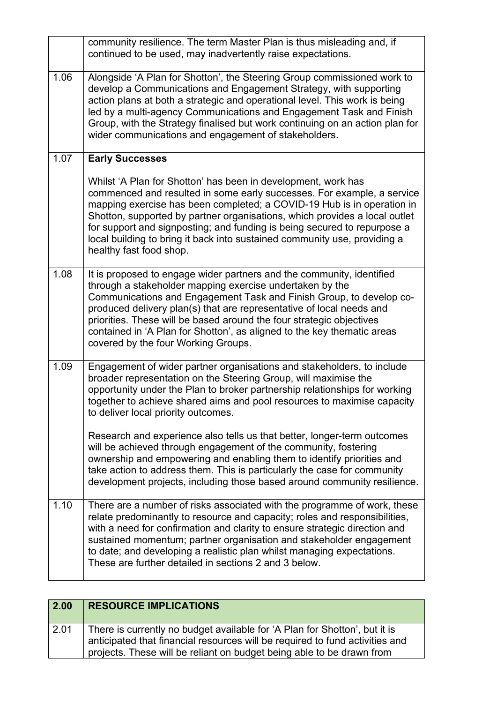|      | community resilience. The term Master Plan is thus misleading and, if<br>continued to be used, may inadvertently raise expectations.                                                                                                                                                                                                                                                                                                                                                |
|------|-------------------------------------------------------------------------------------------------------------------------------------------------------------------------------------------------------------------------------------------------------------------------------------------------------------------------------------------------------------------------------------------------------------------------------------------------------------------------------------|
| 1.06 | Alongside 'A Plan for Shotton', the Steering Group commissioned work to<br>develop a Communications and Engagement Strategy, with supporting<br>action plans at both a strategic and operational level. This work is being<br>led by a multi-agency Communications and Engagement Task and Finish<br>Group, with the Strategy finalised but work continuing on an action plan for<br>wider communications and engagement of stakeholders.                                           |
| 1.07 | <b>Early Successes</b>                                                                                                                                                                                                                                                                                                                                                                                                                                                              |
|      | Whilst 'A Plan for Shotton' has been in development, work has<br>commenced and resulted in some early successes. For example, a service<br>mapping exercise has been completed; a COVID-19 Hub is in operation in<br>Shotton, supported by partner organisations, which provides a local outlet<br>for support and signposting; and funding is being secured to repurpose a<br>local building to bring it back into sustained community use, providing a<br>healthy fast food shop. |
| 1.08 | It is proposed to engage wider partners and the community, identified<br>through a stakeholder mapping exercise undertaken by the<br>Communications and Engagement Task and Finish Group, to develop co-<br>produced delivery plan(s) that are representative of local needs and<br>priorities. These will be based around the four strategic objectives<br>contained in 'A Plan for Shotton', as aligned to the key thematic areas<br>covered by the four Working Groups.          |
| 1.09 | Engagement of wider partner organisations and stakeholders, to include<br>broader representation on the Steering Group, will maximise the<br>opportunity under the Plan to broker partnership relationships for working<br>together to achieve shared aims and pool resources to maximise capacity<br>to deliver local priority outcomes.                                                                                                                                           |
|      | Research and experience also tells us that better, longer-term outcomes<br>will be achieved through engagement of the community, fostering<br>ownership and empowering and enabling them to identify priorities and<br>take action to address them. This is particularly the case for community<br>development projects, including those based around community resilience.                                                                                                         |
| 1.10 | There are a number of risks associated with the programme of work, these<br>relate predominantly to resource and capacity; roles and responsibilities,<br>with a need for confirmation and clarity to ensure strategic direction and<br>sustained momentum; partner organisation and stakeholder engagement<br>to date; and developing a realistic plan whilst managing expectations.<br>These are further detailed in sections 2 and 3 below.                                      |

| 2.00 | <b>RESOURCE IMPLICATIONS</b>                                                                                                                                                                                                        |
|------|-------------------------------------------------------------------------------------------------------------------------------------------------------------------------------------------------------------------------------------|
| 2.01 | There is currently no budget available for 'A Plan for Shotton', but it is<br>anticipated that financial resources will be required to fund activities and<br>projects. These will be reliant on budget being able to be drawn from |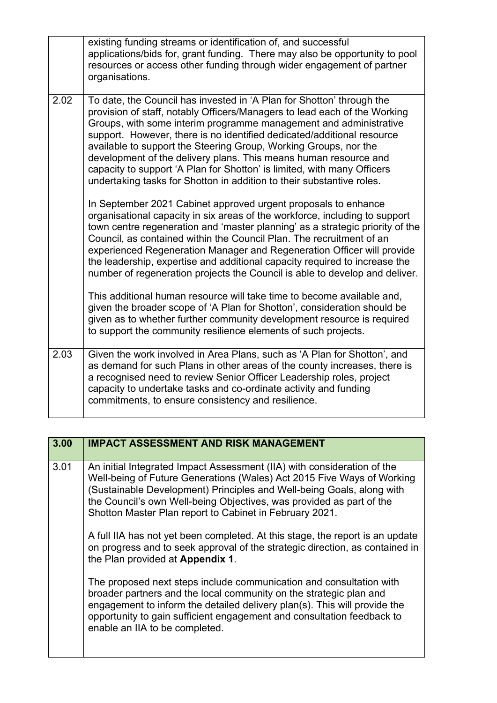|      | existing funding streams or identification of, and successful<br>applications/bids for, grant funding. There may also be opportunity to pool<br>resources or access other funding through wider engagement of partner<br>organisations.                                                                                                                                                                                                                                                                                                                                                       |
|------|-----------------------------------------------------------------------------------------------------------------------------------------------------------------------------------------------------------------------------------------------------------------------------------------------------------------------------------------------------------------------------------------------------------------------------------------------------------------------------------------------------------------------------------------------------------------------------------------------|
| 2.02 | To date, the Council has invested in 'A Plan for Shotton' through the<br>provision of staff, notably Officers/Managers to lead each of the Working<br>Groups, with some interim programme management and administrative<br>support. However, there is no identified dedicated/additional resource<br>available to support the Steering Group, Working Groups, nor the<br>development of the delivery plans. This means human resource and<br>capacity to support 'A Plan for Shotton' is limited, with many Officers<br>undertaking tasks for Shotton in addition to their substantive roles. |
|      | In September 2021 Cabinet approved urgent proposals to enhance<br>organisational capacity in six areas of the workforce, including to support<br>town centre regeneration and 'master planning' as a strategic priority of the<br>Council, as contained within the Council Plan. The recruitment of an<br>experienced Regeneration Manager and Regeneration Officer will provide<br>the leadership, expertise and additional capacity required to increase the<br>number of regeneration projects the Council is able to develop and deliver.                                                 |
|      | This additional human resource will take time to become available and,<br>given the broader scope of 'A Plan for Shotton', consideration should be<br>given as to whether further community development resource is required<br>to support the community resilience elements of such projects.                                                                                                                                                                                                                                                                                                |
| 2.03 | Given the work involved in Area Plans, such as 'A Plan for Shotton', and<br>as demand for such Plans in other areas of the county increases, there is<br>a recognised need to review Senior Officer Leadership roles, project<br>capacity to undertake tasks and co-ordinate activity and funding<br>commitments, to ensure consistency and resilience.                                                                                                                                                                                                                                       |

| 3.00 | <b>IMPACT ASSESSMENT AND RISK MANAGEMENT</b>                                                                                                                                                                                                                                                                                                                  |
|------|---------------------------------------------------------------------------------------------------------------------------------------------------------------------------------------------------------------------------------------------------------------------------------------------------------------------------------------------------------------|
| 3.01 | An initial Integrated Impact Assessment (IIA) with consideration of the<br>Well-being of Future Generations (Wales) Act 2015 Five Ways of Working<br>(Sustainable Development) Principles and Well-being Goals, along with<br>the Council's own Well-being Objectives, was provided as part of the<br>Shotton Master Plan report to Cabinet in February 2021. |
|      | A full IIA has not yet been completed. At this stage, the report is an update<br>on progress and to seek approval of the strategic direction, as contained in<br>the Plan provided at Appendix 1.                                                                                                                                                             |
|      | The proposed next steps include communication and consultation with<br>broader partners and the local community on the strategic plan and<br>engagement to inform the detailed delivery plan(s). This will provide the<br>opportunity to gain sufficient engagement and consultation feedback to<br>enable an IIA to be completed.                            |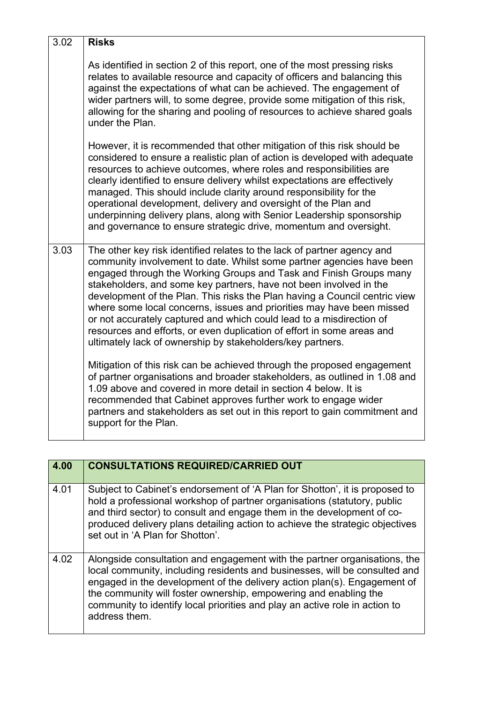| 3.02 | <b>Risks</b>                                                                                                                                                                                                                                                                                                                                                                                                                                                                                                                                                                                                                                                        |
|------|---------------------------------------------------------------------------------------------------------------------------------------------------------------------------------------------------------------------------------------------------------------------------------------------------------------------------------------------------------------------------------------------------------------------------------------------------------------------------------------------------------------------------------------------------------------------------------------------------------------------------------------------------------------------|
|      | As identified in section 2 of this report, one of the most pressing risks<br>relates to available resource and capacity of officers and balancing this<br>against the expectations of what can be achieved. The engagement of<br>wider partners will, to some degree, provide some mitigation of this risk,<br>allowing for the sharing and pooling of resources to achieve shared goals<br>under the Plan.                                                                                                                                                                                                                                                         |
|      | However, it is recommended that other mitigation of this risk should be<br>considered to ensure a realistic plan of action is developed with adequate<br>resources to achieve outcomes, where roles and responsibilities are<br>clearly identified to ensure delivery whilst expectations are effectively<br>managed. This should include clarity around responsibility for the<br>operational development, delivery and oversight of the Plan and<br>underpinning delivery plans, along with Senior Leadership sponsorship<br>and governance to ensure strategic drive, momentum and oversight.                                                                    |
| 3.03 | The other key risk identified relates to the lack of partner agency and<br>community involvement to date. Whilst some partner agencies have been<br>engaged through the Working Groups and Task and Finish Groups many<br>stakeholders, and some key partners, have not been involved in the<br>development of the Plan. This risks the Plan having a Council centric view<br>where some local concerns, issues and priorities may have been missed<br>or not accurately captured and which could lead to a misdirection of<br>resources and efforts, or even duplication of effort in some areas and<br>ultimately lack of ownership by stakeholders/key partners. |
|      | Mitigation of this risk can be achieved through the proposed engagement<br>of partner organisations and broader stakeholders, as outlined in 1.08 and<br>1.09 above and covered in more detail in section 4 below. It is<br>recommended that Cabinet approves further work to engage wider<br>partners and stakeholders as set out in this report to gain commitment and<br>support for the Plan.                                                                                                                                                                                                                                                                   |

| 4.00 | <b>CONSULTATIONS REQUIRED/CARRIED OUT</b>                                                                                                                                                                                                                                                                                                                                                               |
|------|---------------------------------------------------------------------------------------------------------------------------------------------------------------------------------------------------------------------------------------------------------------------------------------------------------------------------------------------------------------------------------------------------------|
| 4.01 | Subject to Cabinet's endorsement of 'A Plan for Shotton', it is proposed to<br>hold a professional workshop of partner organisations (statutory, public<br>and third sector) to consult and engage them in the development of co-<br>produced delivery plans detailing action to achieve the strategic objectives<br>set out in 'A Plan for Shotton'.                                                   |
| 4.02 | Alongside consultation and engagement with the partner organisations, the<br>local community, including residents and businesses, will be consulted and<br>engaged in the development of the delivery action plan(s). Engagement of<br>the community will foster ownership, empowering and enabling the<br>community to identify local priorities and play an active role in action to<br>address them. |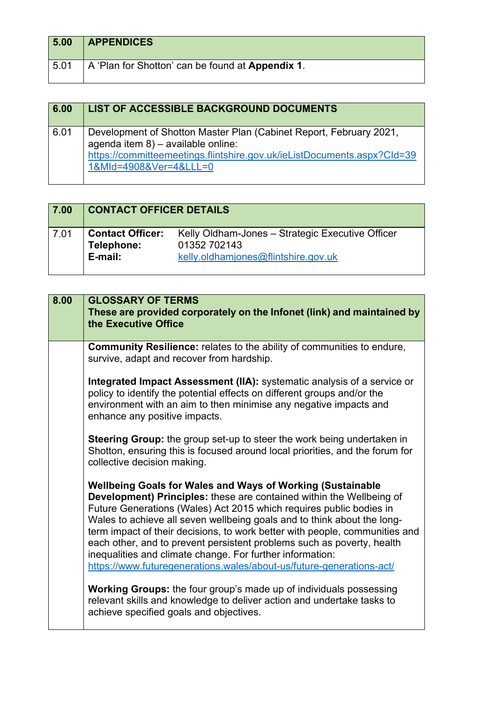| 5.00 | <b>APPENDICES</b>                                |
|------|--------------------------------------------------|
| 5.01 | A 'Plan for Shotton' can be found at Appendix 1. |

| 6.00 | <b>LIST OF ACCESSIBLE BACKGROUND DOCUMENTS</b>                                                                                                                                                                |
|------|---------------------------------------------------------------------------------------------------------------------------------------------------------------------------------------------------------------|
| 6.01 | Development of Shotton Master Plan (Cabinet Report, February 2021,<br>agenda item 8) - available online:<br>https://committeemeetings.flintshire.gov.uk/ieListDocuments.aspx?Cld=39<br>1&MId=4908&Ver=4&LLL=0 |

| 7.00 | <b>CONTACT OFFICER DETAILS</b>                   |                                                                                                         |
|------|--------------------------------------------------|---------------------------------------------------------------------------------------------------------|
| 7.01 | <b>Contact Officer:</b><br>Telephone:<br>E-mail: | Kelly Oldham-Jones - Strategic Executive Officer<br>01352 702143<br>kelly.oldhamjones@flintshire.gov.uk |

| 8.00 | <b>GLOSSARY OF TERMS</b><br>These are provided corporately on the Infonet (link) and maintained by<br>the Executive Office                                                                                                                                                                                                                                                                                                                                                                                                                                                                |
|------|-------------------------------------------------------------------------------------------------------------------------------------------------------------------------------------------------------------------------------------------------------------------------------------------------------------------------------------------------------------------------------------------------------------------------------------------------------------------------------------------------------------------------------------------------------------------------------------------|
|      | <b>Community Resilience:</b> relates to the ability of communities to endure,<br>survive, adapt and recover from hardship.                                                                                                                                                                                                                                                                                                                                                                                                                                                                |
|      | <b>Integrated Impact Assessment (IIA):</b> systematic analysis of a service or<br>policy to identify the potential effects on different groups and/or the<br>environment with an aim to then minimise any negative impacts and<br>enhance any positive impacts.                                                                                                                                                                                                                                                                                                                           |
|      | Steering Group: the group set-up to steer the work being undertaken in<br>Shotton, ensuring this is focused around local priorities, and the forum for<br>collective decision making.                                                                                                                                                                                                                                                                                                                                                                                                     |
|      | <b>Wellbeing Goals for Wales and Ways of Working (Sustainable</b><br>Development) Principles: these are contained within the Wellbeing of<br>Future Generations (Wales) Act 2015 which requires public bodies in<br>Wales to achieve all seven wellbeing goals and to think about the long-<br>term impact of their decisions, to work better with people, communities and<br>each other, and to prevent persistent problems such as poverty, health<br>inequalities and climate change. For further information:<br>https://www.futuregenerations.wales/about-us/future-generations-act/ |
|      | <b>Working Groups:</b> the four group's made up of individuals possessing<br>relevant skills and knowledge to deliver action and undertake tasks to<br>achieve specified goals and objectives.                                                                                                                                                                                                                                                                                                                                                                                            |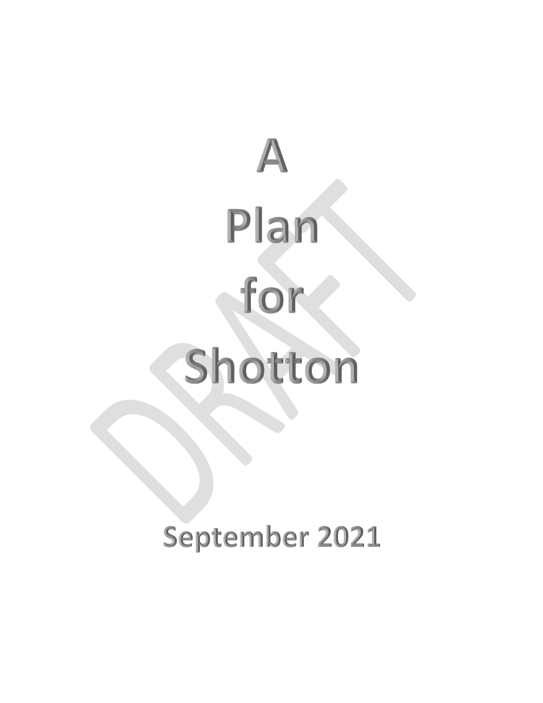

September 2021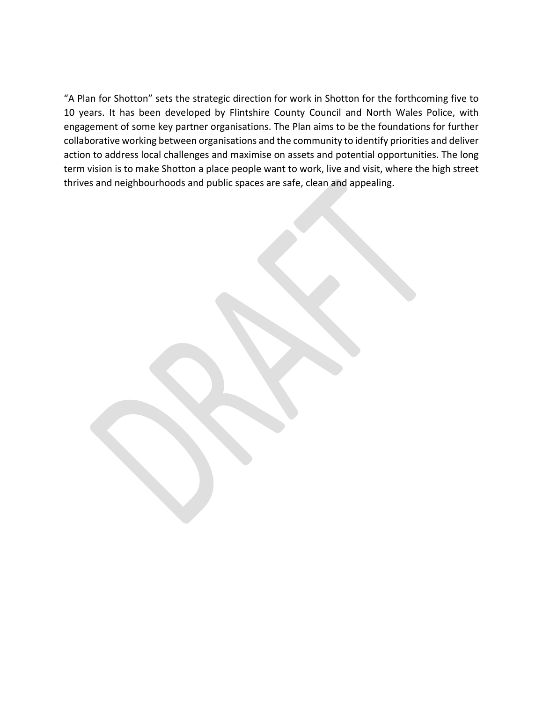"A Plan for Shotton" sets the strategic direction for work in Shotton for the forthcoming five to 10 years. It has been developed by Flintshire County Council and North Wales Police, with engagement of some key partner organisations. The Plan aims to be the foundations for further collaborative working between organisations and the community to identify priorities and deliver action to address local challenges and maximise on assets and potential opportunities. The long term vision is to make Shotton a place people want to work, live and visit, where the high street thrives and neighbourhoods and public spaces are safe, clean and appealing.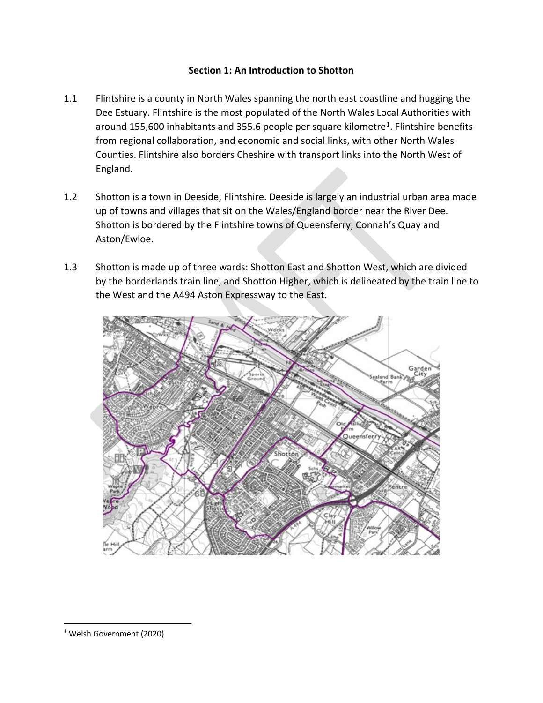## **Section 1: An Introduction to Shotton**

- 1.1 Flintshire is a county in North Wales spanning the north east coastline and hugging the Dee Estuary. Flintshire is the most populated of the North Wales Local Authorities with around 155,600 inhabitants and 355.6 people per square kilometre<sup>1</sup>. Flintshire benefits from regional collaboration, and economic and social links, with other North Wales Counties. Flintshire also borders Cheshire with transport links into the North West of England.
- 1.2 Shotton is a town in Deeside, Flintshire. Deeside is largely an industrial urban area made up of towns and villages that sit on the Wales/England border near the River Dee. Shotton is bordered by the Flintshire towns of Queensferry, Connah's Quay and Aston/Ewloe.
- 1.3 Shotton is made up of three wards: Shotton East and Shotton West, which are divided by the borderlands train line, and Shotton Higher, which is delineated by the train line to the West and the A494 Aston Expressway to the East.



<span id="page-8-0"></span> <sup>1</sup> Welsh Government (2020)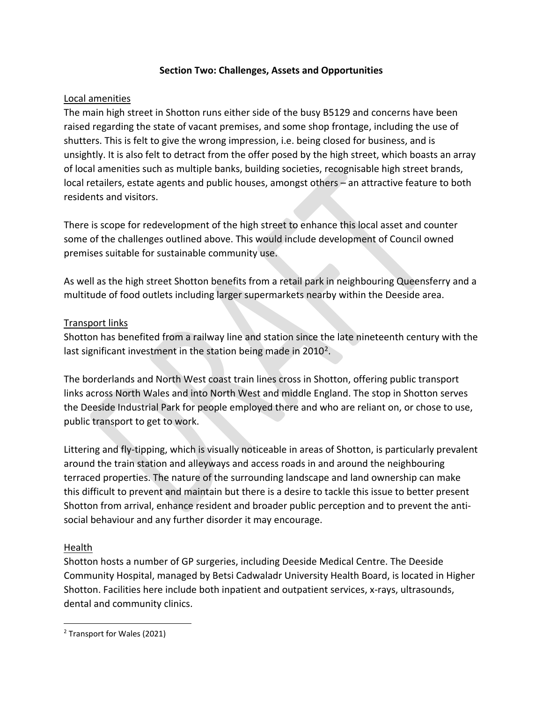## **Section Two: Challenges, Assets and Opportunities**

## Local amenities

The main high street in Shotton runs either side of the busy B5129 and concerns have been raised regarding the state of vacant premises, and some shop frontage, including the use of shutters. This is felt to give the wrong impression, i.e. being closed for business, and is unsightly. It is also felt to detract from the offer posed by the high street, which boasts an array of local amenities such as multiple banks, building societies, recognisable high street brands, local retailers, estate agents and public houses, amongst others – an attractive feature to both residents and visitors.

There is scope for redevelopment of the high street to enhance this local asset and counter some of the challenges outlined above. This would include development of Council owned premises suitable for sustainable community use.

As well as the high street Shotton benefits from a retail park in neighbouring Queensferry and a multitude of food outlets including larger supermarkets nearby within the Deeside area.

## Transport links

Shotton has benefited from a railway line and station since the late nineteenth century with the last significant investment in the station being made in [2](#page-9-0)010<sup>2</sup>.

The borderlands and North West coast train lines cross in Shotton, offering public transport links across North Wales and into North West and middle England. The stop in Shotton serves the Deeside Industrial Park for people employed there and who are reliant on, or chose to use, public transport to get to work.

Littering and fly-tipping, which is visually noticeable in areas of Shotton, is particularly prevalent around the train station and alleyways and access roads in and around the neighbouring terraced properties. The nature of the surrounding landscape and land ownership can make this difficult to prevent and maintain but there is a desire to tackle this issue to better present Shotton from arrival, enhance resident and broader public perception and to prevent the antisocial behaviour and any further disorder it may encourage.

## Health

Shotton hosts a number of GP surgeries, including Deeside Medical Centre. The Deeside Community Hospital, managed by Betsi Cadwaladr University Health Board, is located in Higher Shotton. Facilities here include both inpatient and outpatient services, x-rays, ultrasounds, dental and community clinics.

<span id="page-9-0"></span> <sup>2</sup> Transport for Wales (2021)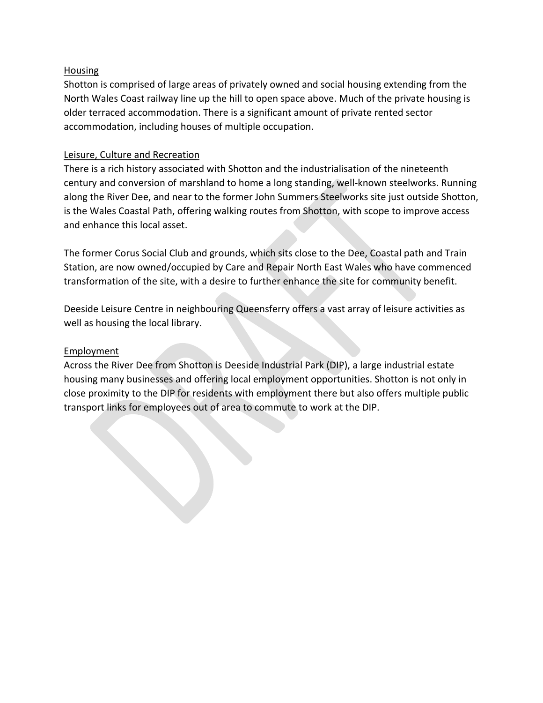## **Housing**

Shotton is comprised of large areas of privately owned and social housing extending from the North Wales Coast railway line up the hill to open space above. Much of the private housing is older terraced accommodation. There is a significant amount of private rented sector accommodation, including houses of multiple occupation.

## Leisure, Culture and Recreation

There is a rich history associated with Shotton and the industrialisation of the nineteenth century and conversion of marshland to home a long standing, well-known steelworks. Running along the River Dee, and near to the former John Summers Steelworks site just outside Shotton, is the Wales Coastal Path, offering walking routes from Shotton, with scope to improve access and enhance this local asset.

The former Corus Social Club and grounds, which sits close to the Dee, Coastal path and Train Station, are now owned/occupied by Care and Repair North East Wales who have commenced transformation of the site, with a desire to further enhance the site for community benefit.

Deeside Leisure Centre in neighbouring Queensferry offers a vast array of leisure activities as well as housing the local library.

## **Employment**

Across the River Dee from Shotton is Deeside Industrial Park (DIP), a large industrial estate housing many businesses and offering local employment opportunities. Shotton is not only in close proximity to the DIP for residents with employment there but also offers multiple public transport links for employees out of area to commute to work at the DIP.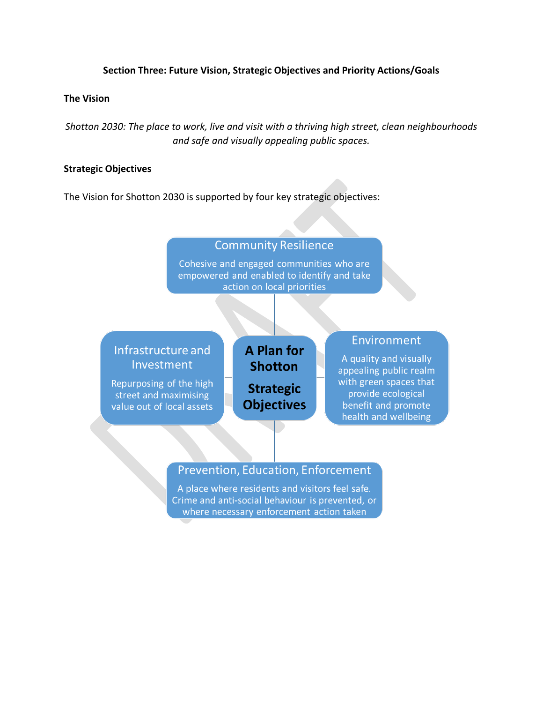### **Section Three: Future Vision, Strategic Objectives and Priority Actions/Goals**

#### **The Vision**

*Shotton 2030: The place to work, live and visit with a thriving high street, clean neighbourhoods and safe and visually appealing public spaces.*

#### **Strategic Objectives**

The Vision for Shotton 2030 is supported by four key strategic objectives:

## **Community Resilience**

Cohesive and engaged communities who are empowered and enabled to identify and take action on local priorities

# Infrastructure and Investment

Repurposing of the high street and maximising value out of local assets

**A Plan for Shotton Strategic Objectives** 

## **Environment**

A quality and visually appealing public realm with green spaces that provide ecological benefit and promote health and wellbeing

## Prevention, Education, Enforcement

A place where residents and visitors feel safe. Crime and anti-social behaviour is prevented, or where necessary enforcement action taken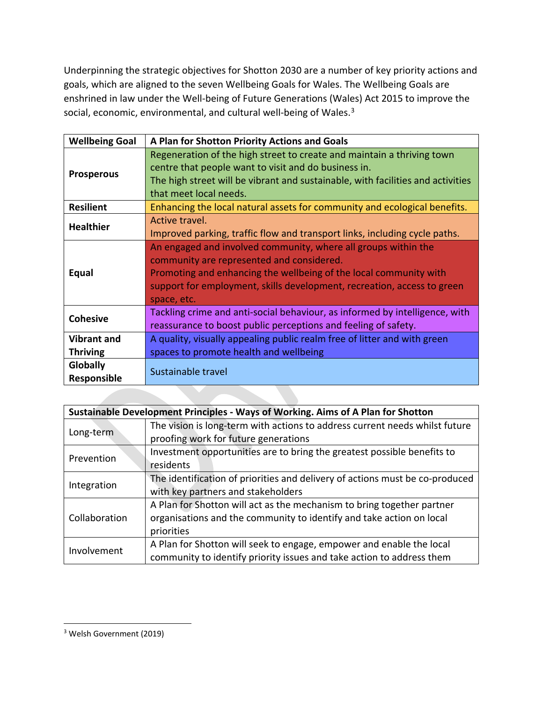Underpinning the strategic objectives for Shotton 2030 are a number of key priority actions and goals, which are aligned to the seven Wellbeing Goals for Wales. The Wellbeing Goals are enshrined in law under the Well-being of Future Generations (Wales) Act 2015 to improve the social, economic, environmental, and cultural well-being of Wales.<sup>[3](#page-12-0)</sup>

| <b>Wellbeing Goal</b>   | A Plan for Shotton Priority Actions and Goals                                                                                                                                                                                                                              |
|-------------------------|----------------------------------------------------------------------------------------------------------------------------------------------------------------------------------------------------------------------------------------------------------------------------|
| <b>Prosperous</b>       | Regeneration of the high street to create and maintain a thriving town<br>centre that people want to visit and do business in.<br>The high street will be vibrant and sustainable, with facilities and activities<br>that meet local needs.                                |
| <b>Resilient</b>        | Enhancing the local natural assets for community and ecological benefits.                                                                                                                                                                                                  |
| <b>Healthier</b>        | Active travel.<br>Improved parking, traffic flow and transport links, including cycle paths.                                                                                                                                                                               |
| <b>Equal</b>            | An engaged and involved community, where all groups within the<br>community are represented and considered.<br>Promoting and enhancing the wellbeing of the local community with<br>support for employment, skills development, recreation, access to green<br>space, etc. |
| <b>Cohesive</b>         | Tackling crime and anti-social behaviour, as informed by intelligence, with<br>reassurance to boost public perceptions and feeling of safety.                                                                                                                              |
| <b>Vibrant and</b>      | A quality, visually appealing public realm free of litter and with green                                                                                                                                                                                                   |
| <b>Thriving</b>         | spaces to promote health and wellbeing                                                                                                                                                                                                                                     |
| Globally<br>Responsible | Sustainable travel                                                                                                                                                                                                                                                         |

| Sustainable Development Principles - Ways of Working. Aims of A Plan for Shotton |                                                                              |  |  |  |
|----------------------------------------------------------------------------------|------------------------------------------------------------------------------|--|--|--|
|                                                                                  | The vision is long-term with actions to address current needs whilst future  |  |  |  |
| Long-term                                                                        | proofing work for future generations                                         |  |  |  |
| Prevention                                                                       | Investment opportunities are to bring the greatest possible benefits to      |  |  |  |
|                                                                                  | residents                                                                    |  |  |  |
|                                                                                  | The identification of priorities and delivery of actions must be co-produced |  |  |  |
| Integration                                                                      | with key partners and stakeholders                                           |  |  |  |
|                                                                                  | A Plan for Shotton will act as the mechanism to bring together partner       |  |  |  |
| Collaboration                                                                    | organisations and the community to identify and take action on local         |  |  |  |
|                                                                                  | priorities                                                                   |  |  |  |
| Involvement                                                                      | A Plan for Shotton will seek to engage, empower and enable the local         |  |  |  |
|                                                                                  | community to identify priority issues and take action to address them        |  |  |  |

<span id="page-12-0"></span> <sup>3</sup> Welsh Government (2019)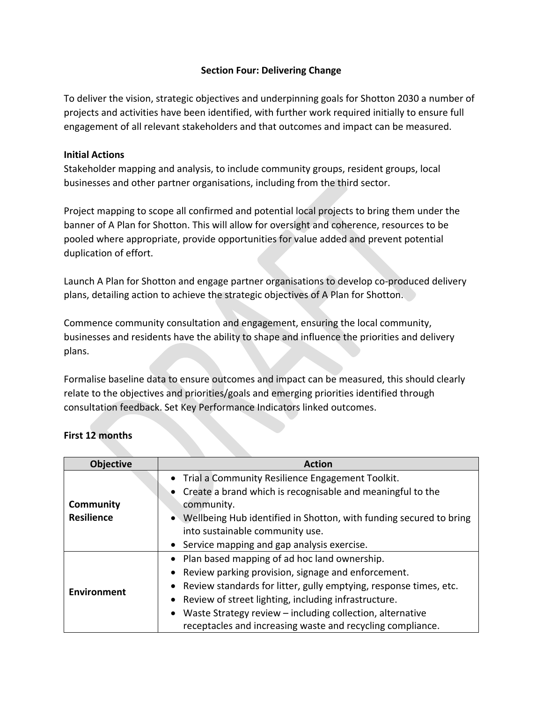## **Section Four: Delivering Change**

To deliver the vision, strategic objectives and underpinning goals for Shotton 2030 a number of projects and activities have been identified, with further work required initially to ensure full engagement of all relevant stakeholders and that outcomes and impact can be measured.

### **Initial Actions**

Stakeholder mapping and analysis, to include community groups, resident groups, local businesses and other partner organisations, including from the third sector.

Project mapping to scope all confirmed and potential local projects to bring them under the banner of A Plan for Shotton. This will allow for oversight and coherence, resources to be pooled where appropriate, provide opportunities for value added and prevent potential duplication of effort.

Launch A Plan for Shotton and engage partner organisations to develop co-produced delivery plans, detailing action to achieve the strategic objectives of A Plan for Shotton.

Commence community consultation and engagement, ensuring the local community, businesses and residents have the ability to shape and influence the priorities and delivery plans.

Formalise baseline data to ensure outcomes and impact can be measured, this should clearly relate to the objectives and priorities/goals and emerging priorities identified through consultation feedback. Set Key Performance Indicators linked outcomes.

| <b>Objective</b>   | <b>Action</b>                                                        |
|--------------------|----------------------------------------------------------------------|
|                    | • Trial a Community Resilience Engagement Toolkit.                   |
|                    | • Create a brand which is recognisable and meaningful to the         |
| Community          | community.                                                           |
| <b>Resilience</b>  | • Wellbeing Hub identified in Shotton, with funding secured to bring |
|                    | into sustainable community use.                                      |
|                    | • Service mapping and gap analysis exercise.                         |
|                    | • Plan based mapping of ad hoc land ownership.                       |
|                    | • Review parking provision, signage and enforcement.                 |
| <b>Environment</b> | • Review standards for litter, gully emptying, response times, etc.  |
|                    | • Review of street lighting, including infrastructure.               |
|                    | Waste Strategy review - including collection, alternative            |
|                    | receptacles and increasing waste and recycling compliance.           |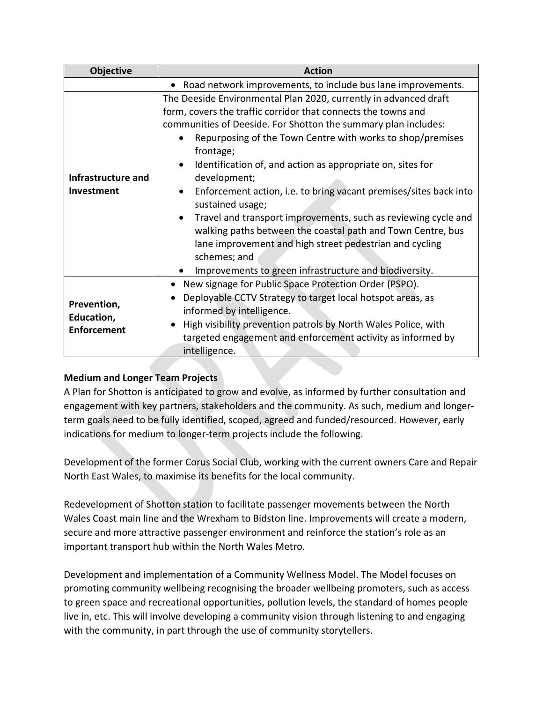| <b>Objective</b>                                | <b>Action</b>                                                                                                                                                                                                                                                                                                                                                                                                                                                                                                                                                                                                                                                                                                               |
|-------------------------------------------------|-----------------------------------------------------------------------------------------------------------------------------------------------------------------------------------------------------------------------------------------------------------------------------------------------------------------------------------------------------------------------------------------------------------------------------------------------------------------------------------------------------------------------------------------------------------------------------------------------------------------------------------------------------------------------------------------------------------------------------|
|                                                 | • Road network improvements, to include bus lane improvements.                                                                                                                                                                                                                                                                                                                                                                                                                                                                                                                                                                                                                                                              |
| Infrastructure and<br>Investment                | The Deeside Environmental Plan 2020, currently in advanced draft<br>form, covers the traffic corridor that connects the towns and<br>communities of Deeside. For Shotton the summary plan includes:<br>Repurposing of the Town Centre with works to shop/premises<br>frontage;<br>Identification of, and action as appropriate on, sites for<br>development;<br>Enforcement action, i.e. to bring vacant premises/sites back into<br>sustained usage;<br>Travel and transport improvements, such as reviewing cycle and<br>walking paths between the coastal path and Town Centre, bus<br>lane improvement and high street pedestrian and cycling<br>schemes; and<br>Improvements to green infrastructure and biodiversity. |
| Prevention,<br>Education,<br><b>Enforcement</b> | New signage for Public Space Protection Order (PSPO).<br>$\bullet$<br>Deployable CCTV Strategy to target local hotspot areas, as<br>informed by intelligence.<br>High visibility prevention patrols by North Wales Police, with<br>$\bullet$<br>targeted engagement and enforcement activity as informed by<br>intelligence.                                                                                                                                                                                                                                                                                                                                                                                                |

## **Medium and Longer Team Projects**

A Plan for Shotton is anticipated to grow and evolve, as informed by further consultation and engagement with key partners, stakeholders and the community. As such, medium and longerterm goals need to be fully identified, scoped, agreed and funded/resourced. However, early indications for medium to longer-term projects include the following.

Development of the former Corus Social Club, working with the current owners Care and Repair North East Wales, to maximise its benefits for the local community.

Redevelopment of Shotton station to facilitate passenger movements between the North Wales Coast main line and the Wrexham to Bidston line. Improvements will create a modern, secure and more attractive passenger environment and reinforce the station's role as an important transport hub within the North Wales Metro.

Development and implementation of a Community Wellness Model. The Model focuses on promoting community wellbeing recognising the broader wellbeing promoters, such as access to green space and recreational opportunities, pollution levels, the standard of homes people live in, etc. This will involve developing a community vision through listening to and engaging with the community, in part through the use of community storytellers.